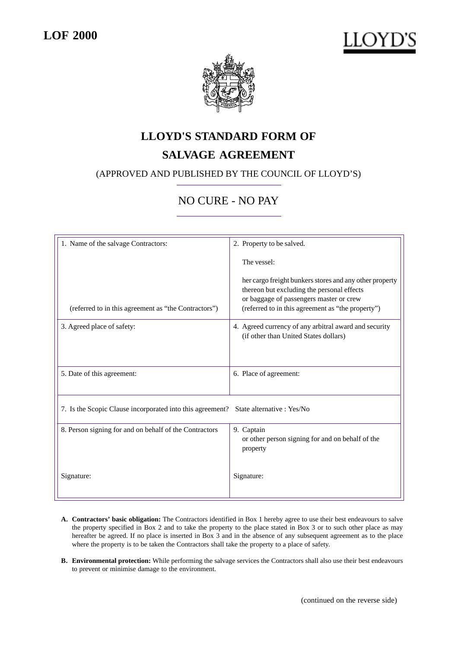

# **LLOYD'S STANDARD FORM OF**

## **SALVAGE AGREEMENT**

## (APPROVED AND PUBLISHED BY THE COUNCIL OF LLOYD'S)

## NO CURE - NO PAY

| 1. Name of the salvage Contractors:                                                  | 2. Property to be salved.                                                                                                                                                                             |
|--------------------------------------------------------------------------------------|-------------------------------------------------------------------------------------------------------------------------------------------------------------------------------------------------------|
|                                                                                      | The vessel:                                                                                                                                                                                           |
| (referred to in this agreement as "the Contractors")                                 | her cargo freight bunkers stores and any other property<br>thereon but excluding the personal effects<br>or baggage of passengers master or crew<br>(referred to in this agreement as "the property") |
| 3. Agreed place of safety:                                                           | 4. Agreed currency of any arbitral award and security<br>(if other than United States dollars)                                                                                                        |
| 5. Date of this agreement:                                                           | 6. Place of agreement:                                                                                                                                                                                |
| 7. Is the Scopic Clause incorporated into this agreement? State alternative : Yes/No |                                                                                                                                                                                                       |
| 8. Person signing for and on behalf of the Contractors                               | 9. Captain<br>or other person signing for and on behalf of the<br>property                                                                                                                            |
| Signature:                                                                           | Signature:                                                                                                                                                                                            |

- **A. Contractors' basic obligation:** The Contractors identified in Box 1 hereby agree to use their best endeavours to salve the property specified in Box 2 and to take the property to the place stated in Box 3 or to such other place as may hereafter be agreed. If no place is inserted in Box 3 and in the absence of any subsequent agreement as to the place where the property is to be taken the Contractors shall take the property to a place of safety.
- **B. Environmental protection:** While performing the salvage services the Contractors shall also use their best endeavours to prevent or minimise damage to the environment.

(continued on the reverse side)